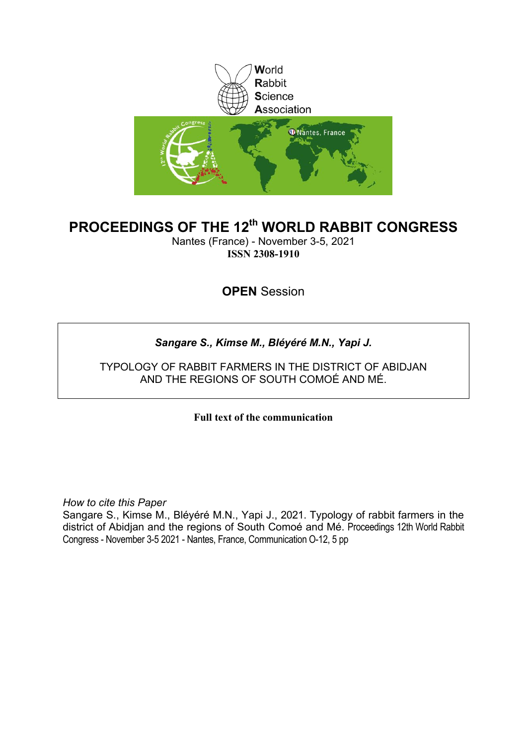

# **PROCEEDINGS OF THE 12th WORLD RABBIT CONGRESS**

Nantes (France) - November 3-5, 2021 **ISSN 2308-1910**

**OPEN** Session

# *Sangare S., Kimse M., Bléyéré M.N., Yapi J.*

TYPOLOGY OF RABBIT FARMERS IN THE DISTRICT OF ABIDJAN AND THE REGIONS OF SOUTH COMOÉ AND MÉ.

**Full text of the communication** 

*How to cite this Paper*

Sangare S., Kimse M., Bléyéré M.N., Yapi J., 2021. Typology of rabbit farmers in the district of Abidjan and the regions of South Comoé and Mé. Proceedings 12th World Rabbit Congress - November 3-5 2021 - Nantes, France, Communication O-12, 5 pp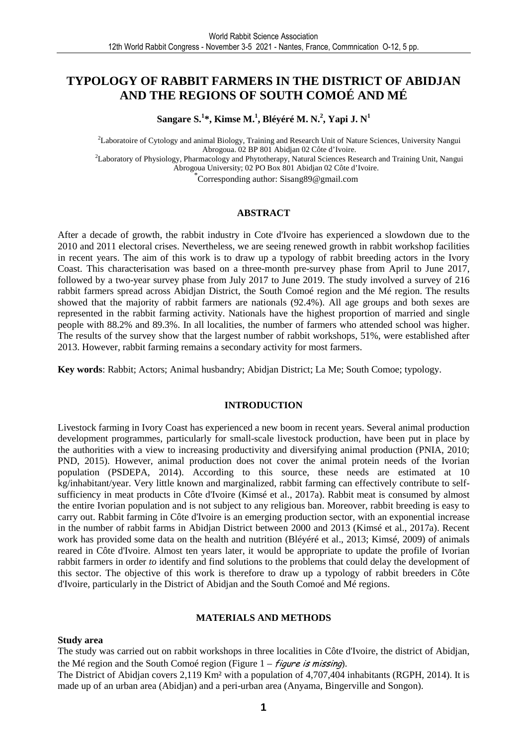# **TYPOLOGY OF RABBIT FARMERS IN THE DISTRICT OF ABIDJAN AND THE REGIONS OF SOUTH COMOÉ AND MÉ**

**Sangare S.<sup>1</sup> \*, Kimse M.<sup>1</sup> , Bléyéré M. N.<sup>2</sup> , Yapi J. N<sup>1</sup>**

<sup>2</sup>Laboratoire of Cytology and animal Biology, Training and Research Unit of Nature Sciences, University Nangui Abrogoua. 02 BP 801 Abidjan 02 Côte d'Ivoire. <sup>2</sup>Laboratory of Physiology, Pharmacology and Phytotherapy, Natural Sciences Research and Training Unit, Nangui Abrogoua University; 02 PO Box 801 Abidjan 02 Côte d'Ivoire.

\* Corresponding author: Sisang89@gmail.com

#### **ABSTRACT**

After a decade of growth, the rabbit industry in Cote d'Ivoire has experienced a slowdown due to the 2010 and 2011 electoral crises. Nevertheless, we are seeing renewed growth in rabbit workshop facilities in recent years. The aim of this work is to draw up a typology of rabbit breeding actors in the Ivory Coast. This characterisation was based on a three-month pre-survey phase from April to June 2017, followed by a two-year survey phase from July 2017 to June 2019. The study involved a survey of 216 rabbit farmers spread across Abidjan District, the South Comoé region and the Mé region. The results showed that the majority of rabbit farmers are nationals (92.4%). All age groups and both sexes are represented in the rabbit farming activity. Nationals have the highest proportion of married and single people with 88.2% and 89.3%. In all localities, the number of farmers who attended school was higher. The results of the survey show that the largest number of rabbit workshops, 51%, were established after 2013. However, rabbit farming remains a secondary activity for most farmers.

**Key words**: Rabbit; Actors; Animal husbandry; Abidjan District; La Me; South Comoe; typology.

# **INTRODUCTION**

Livestock farming in Ivory Coast has experienced a new boom in recent years. Several animal production development programmes, particularly for small-scale livestock production, have been put in place by the authorities with a view to increasing productivity and diversifying animal production (PNIA, 2010; PND, 2015). However, animal production does not cover the animal protein needs of the Ivorian population (PSDEPA, 2014). According to this source, these needs are estimated at 10 kg/inhabitant/year. Very little known and marginalized, rabbit farming can effectively contribute to selfsufficiency in meat products in Côte d'Ivoire (Kimsé et al., 2017a). Rabbit meat is consumed by almost the entire Ivorian population and is not subject to any religious ban. Moreover, rabbit breeding is easy to carry out. Rabbit farming in Côte d'Ivoire is an emerging production sector, with an exponential increase in the number of rabbit farms in Abidjan District between 2000 and 2013 (Kimsé et al., 2017a). Recent work has provided some data on the health and nutrition (Bléyéré et al., 2013; Kimsé, 2009) of animals reared in Côte d'Ivoire. Almost ten years later, it would be appropriate to update the profile of Ivorian rabbit farmers in order *to* identify and find solutions to the problems that could delay the development of this sector. The objective of this work is therefore to draw up a typology of rabbit breeders in Côte d'Ivoire, particularly in the District of Abidjan and the South Comoé and Mé regions.

# **MATERIALS AND METHODS**

#### **Study area**

The study was carried out on rabbit workshops in three localities in Côte d'Ivoire, the district of Abidjan, the Mé region and the South Comoé region (Figure  $1 - \frac{f}{q}$  is missing).

The District of Abidjan covers 2,119 Km² with a population of 4,707,404 inhabitants (RGPH, 2014). It is made up of an urban area (Abidjan) and a peri-urban area (Anyama, Bingerville and Songon).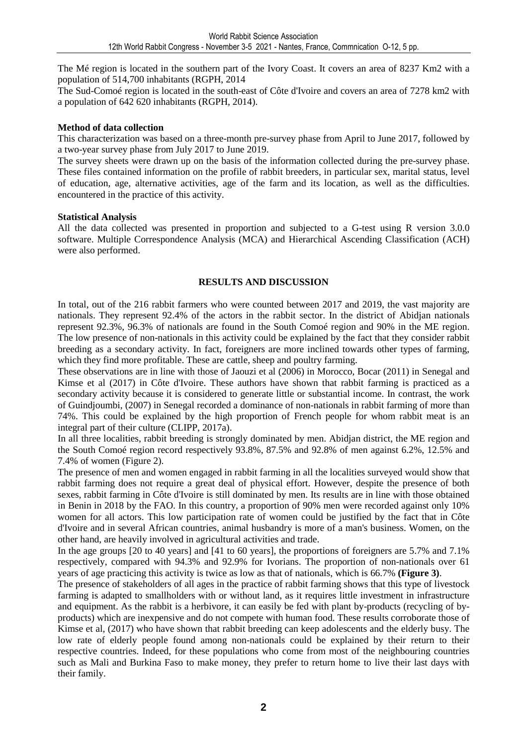The Mé region is located in the southern part of the Ivory Coast. It covers an area of 8237 Km2 with a population of 514,700 inhabitants (RGPH, 2014

The Sud-Comoé region is located in the south-east of Côte d'Ivoire and covers an area of 7278 km2 with a population of 642 620 inhabitants (RGPH, 2014).

# **Method of data collection**

This characterization was based on a three-month pre-survey phase from April to June 2017, followed by a two-year survey phase from July 2017 to June 2019.

The survey sheets were drawn up on the basis of the information collected during the pre-survey phase. These files contained information on the profile of rabbit breeders, in particular sex, marital status, level of education, age, alternative activities, age of the farm and its location, as well as the difficulties. encountered in the practice of this activity.

# **Statistical Analysis**

All the data collected was presented in proportion and subjected to a G-test using R version 3.0.0 software. Multiple Correspondence Analysis (MCA) and Hierarchical Ascending Classification (ACH) were also performed.

# **RESULTS AND DISCUSSION**

In total, out of the 216 rabbit farmers who were counted between 2017 and 2019, the vast majority are nationals. They represent 92.4% of the actors in the rabbit sector. In the district of Abidjan nationals represent 92.3%, 96.3% of nationals are found in the South Comoé region and 90% in the ME region. The low presence of non-nationals in this activity could be explained by the fact that they consider rabbit breeding as a secondary activity. In fact, foreigners are more inclined towards other types of farming, which they find more profitable. These are cattle, sheep and poultry farming.

These observations are in line with those of Jaouzi et al (2006) in Morocco, Bocar (2011) in Senegal and Kimse et al (2017) in Côte d'Ivoire. These authors have shown that rabbit farming is practiced as a secondary activity because it is considered to generate little or substantial income. In contrast, the work of Guindjoumbi, (2007) in Senegal recorded a dominance of non-nationals in rabbit farming of more than 74%. This could be explained by the high proportion of French people for whom rabbit meat is an integral part of their culture (CLIPP, 2017a).

In all three localities, rabbit breeding is strongly dominated by men. Abidjan district, the ME region and the South Comoé region record respectively 93.8%, 87.5% and 92.8% of men against 6.2%, 12.5% and 7.4% of women (Figure 2).

The presence of men and women engaged in rabbit farming in all the localities surveyed would show that rabbit farming does not require a great deal of physical effort. However, despite the presence of both sexes, rabbit farming in Côte d'Ivoire is still dominated by men. Its results are in line with those obtained in Benin in 2018 by the FAO. In this country, a proportion of 90% men were recorded against only 10% women for all actors. This low participation rate of women could be justified by the fact that in Côte d'Ivoire and in several African countries, animal husbandry is more of a man's business. Women, on the other hand, are heavily involved in agricultural activities and trade.

In the age groups [20 to 40 years] and [41 to 60 years], the proportions of foreigners are 5.7% and 7.1% respectively, compared with 94.3% and 92.9% for Ivorians. The proportion of non-nationals over 61 years of age practicing this activity is twice as low as that of nationals, which is 66.7% **(Figure 3)**.

The presence of stakeholders of all ages in the practice of rabbit farming shows that this type of livestock farming is adapted to smallholders with or without land, as it requires little investment in infrastructure and equipment. As the rabbit is a herbivore, it can easily be fed with plant by-products (recycling of byproducts) which are inexpensive and do not compete with human food. These results corroborate those of Kimse et al, (2017) who have shown that rabbit breeding can keep adolescents and the elderly busy. The low rate of elderly people found among non-nationals could be explained by their return to their respective countries. Indeed, for these populations who come from most of the neighbouring countries such as Mali and Burkina Faso to make money, they prefer to return home to live their last days with their family.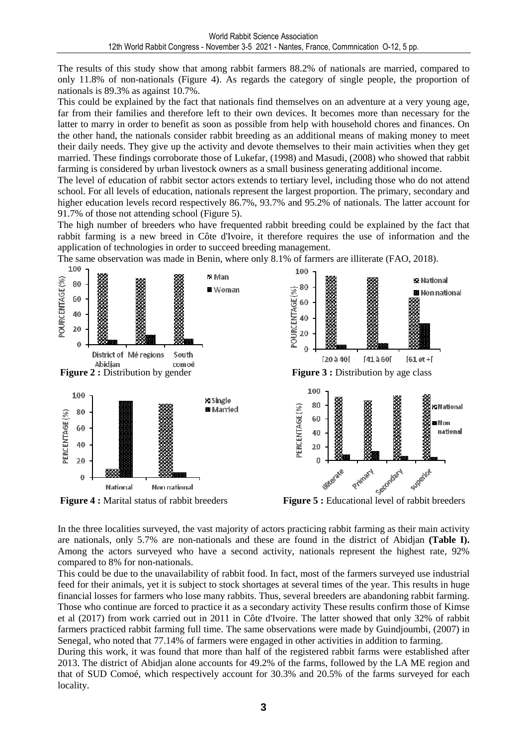The results of this study show that among rabbit farmers 88.2% of nationals are married, compared to only 11.8% of non-nationals (Figure 4). As regards the category of single people, the proportion of nationals is 89.3% as against 10.7%.

This could be explained by the fact that nationals find themselves on an adventure at a very young age, far from their families and therefore left to their own devices. It becomes more than necessary for the latter to marry in order to benefit as soon as possible from help with household chores and finances. On the other hand, the nationals consider rabbit breeding as an additional means of making money to meet their daily needs. They give up the activity and devote themselves to their main activities when they get married. These findings corroborate those of Lukefar, (1998) and Masudi, (2008) who showed that rabbit farming is considered by urban livestock owners as a small business generating additional income.

The level of education of rabbit sector actors extends to tertiary level, including those who do not attend school. For all levels of education, nationals represent the largest proportion. The primary, secondary and higher education levels record respectively 86.7%, 93.7% and 95.2% of nationals. The latter account for 91.7% of those not attending school (Figure 5).

The high number of breeders who have frequented rabbit breeding could be explained by the fact that rabbit farming is a new breed in Côte d'Ivoire, it therefore requires the use of information and the application of technologies in order to succeed breeding management.



The same observation was made in Benin, where only 8.1% of farmers are illiterate (FAO, 2018).

In the three localities surveyed, the vast majority of actors practicing rabbit farming as their main activity are nationals, only 5.7% are non-nationals and these are found in the district of Abidjan **(Table I).** Among the actors surveyed who have a second activity, nationals represent the highest rate, 92% compared to 8% for non-nationals.

This could be due to the unavailability of rabbit food. In fact, most of the farmers surveyed use industrial feed for their animals, yet it is subject to stock shortages at several times of the year. This results in huge financial losses for farmers who lose many rabbits. Thus, several breeders are abandoning rabbit farming. Those who continue are forced to practice it as a secondary activity These results confirm those of Kimse et al (2017) from work carried out in 2011 in Côte d'Ivoire. The latter showed that only 32% of rabbit farmers practiced rabbit farming full time. The same observations were made by Guindjoumbi, (2007) in Senegal, who noted that 77.14% of farmers were engaged in other activities in addition to farming.

During this work, it was found that more than half of the registered rabbit farms were established after 2013. The district of Abidjan alone accounts for 49.2% of the farms, followed by the LA ME region and that of SUD Comoé, which respectively account for 30.3% and 20.5% of the farms surveyed for each locality.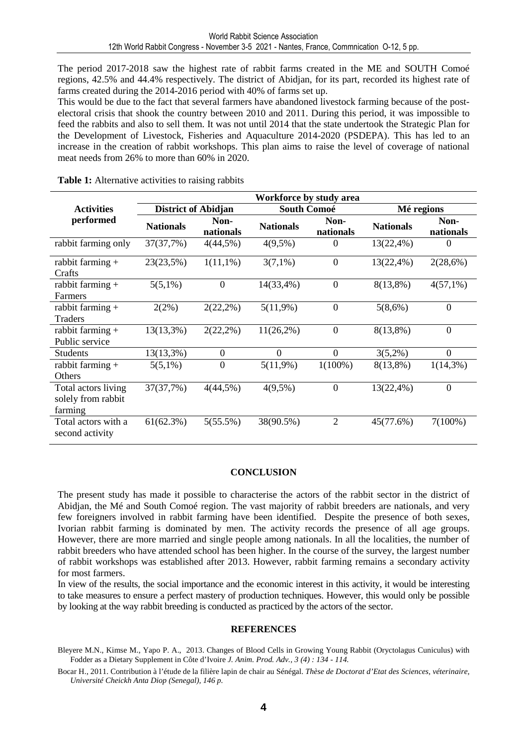The period 2017-2018 saw the highest rate of rabbit farms created in the ME and SOUTH Comoé regions, 42.5% and 44.4% respectively. The district of Abidjan, for its part, recorded its highest rate of farms created during the 2014-2016 period with 40% of farms set up.

This would be due to the fact that several farmers have abandoned livestock farming because of the postelectoral crisis that shook the country between 2010 and 2011. During this period, it was impossible to feed the rabbits and also to sell them. It was not until 2014 that the state undertook the Strategic Plan for the Development of Livestock, Fisheries and Aquaculture 2014-2020 (PSDEPA). This has led to an increase in the creation of rabbit workshops. This plan aims to raise the level of coverage of national meat needs from 26% to more than 60% in 2020.

|                                                      | Workforce by study area    |                   |                    |                   |                  |                   |
|------------------------------------------------------|----------------------------|-------------------|--------------------|-------------------|------------------|-------------------|
| <b>Activities</b><br>performed                       | <b>District of Abidjan</b> |                   | <b>South Comoé</b> |                   | Mé regions       |                   |
|                                                      | <b>Nationals</b>           | Non-<br>nationals | <b>Nationals</b>   | Non-<br>nationals | <b>Nationals</b> | Non-<br>nationals |
| rabbit farming only                                  | 37(37,7%)                  | 4(44,5%)          | $4(9,5\%)$         | $\theta$          | $13(22,4\%)$     | 0                 |
| rabbit farming +<br>Crafts                           | 23(23,5%)                  | $1(11,1\%)$       | $3(7,1\%)$         | $\mathbf{0}$      | 13(22,4%)        | 2(28,6%)          |
| rabbit farming $+$<br><b>Farmers</b>                 | $5(5,1\%)$                 | $\Omega$          | 14(33,4%)          | $\theta$          | $8(13,8\%)$      | $4(57,1\%)$       |
| rabbit farming $+$<br><b>Traders</b>                 | 2(2%)                      | $2(22,2\%)$       | $5(11,9\%)$        | $\overline{0}$    | 5(8,6%)          | $\boldsymbol{0}$  |
| rabbit farming $+$<br>Public service                 | 13(13,3%)                  | $2(22,2\%)$       | $11(26,2\%)$       | $\boldsymbol{0}$  | $8(13,8\%)$      | $\boldsymbol{0}$  |
| <b>Students</b>                                      | $13(13,3\%)$               | $\boldsymbol{0}$  | $\theta$           | $\overline{0}$    | $3(5,2\%)$       | $\overline{0}$    |
| rabbit farming $+$<br>Others                         | $5(5,1\%)$                 | $\boldsymbol{0}$  | $5(11,9\%)$        | $1(100\%)$        | $8(13,8\%)$      | $1(14,3\%)$       |
| Total actors living<br>solely from rabbit<br>farming | 37(37,7%)                  | 4(44,5%)          | $4(9,5\%)$         | $\overline{0}$    | 13(22,4%)        | $\overline{0}$    |
| Total actors with a<br>second activity               | 61(62.3%)                  | 5(55.5%)          | 38(90.5%)          | $\overline{2}$    | 45(77.6%)        | $7(100\%)$        |

**Table 1:** Alternative activities to raising rabbits

# **CONCLUSION**

The present study has made it possible to characterise the actors of the rabbit sector in the district of Abidjan, the Mé and South Comoé region. The vast majority of rabbit breeders are nationals, and very few foreigners involved in rabbit farming have been identified. Despite the presence of both sexes, Ivorian rabbit farming is dominated by men. The activity records the presence of all age groups. However, there are more married and single people among nationals. In all the localities, the number of rabbit breeders who have attended school has been higher. In the course of the survey, the largest number of rabbit workshops was established after 2013. However, rabbit farming remains a secondary activity for most farmers.

In view of the results, the social importance and the economic interest in this activity, it would be interesting to take measures to ensure a perfect mastery of production techniques. However, this would only be possible by looking at the way rabbit breeding is conducted as practiced by the actors of the sector.

# **REFERENCES**

Bocar H., 2011. Contribution à l'étude de la filière lapin de chair au Sénégal. *Thèse de Doctorat d'Etat des Sciences, véterinaire, Université Cheickh Anta Diop (Senegal), 146 p.* 

Bleyere M.N., Kimse M., Yapo P. A., 2013. Changes of Blood Cells in Growing Young Rabbit (Oryctolagus Cuniculus) with Fodder as a Dietary Supplement in Côte d'Ivoire *J. Anim. Prod. Adv., 3 (4) : 134 - 114.*